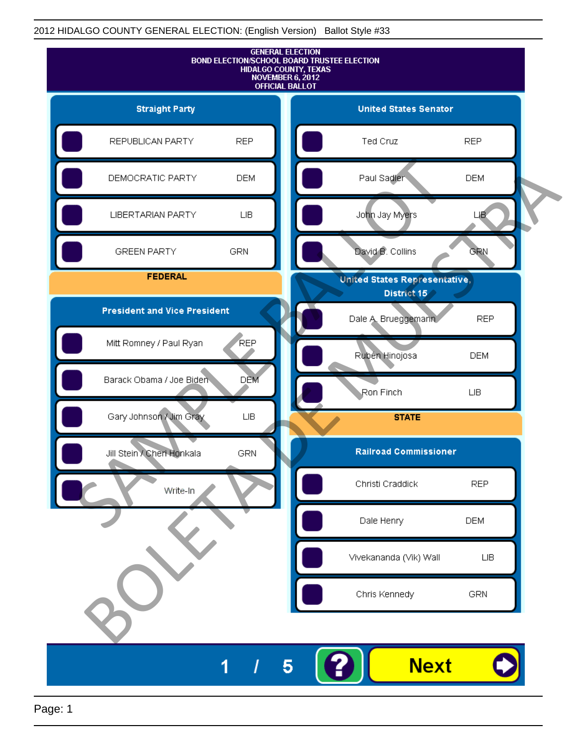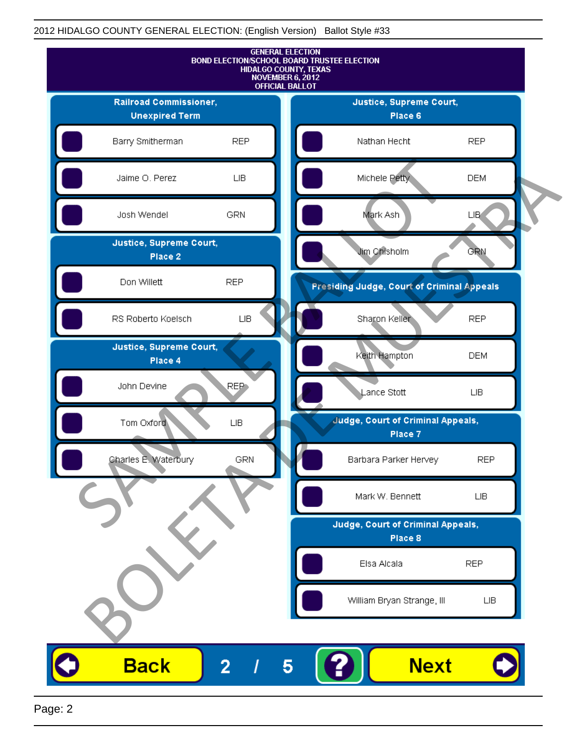

Page: 2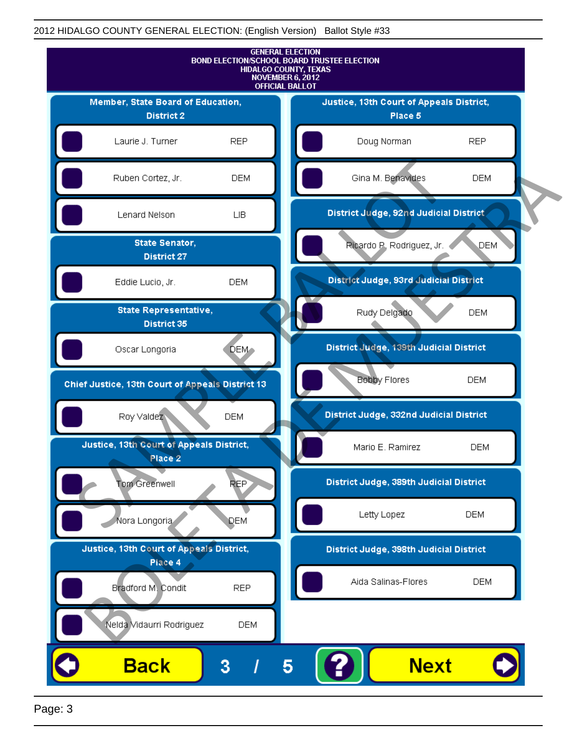

Page: 3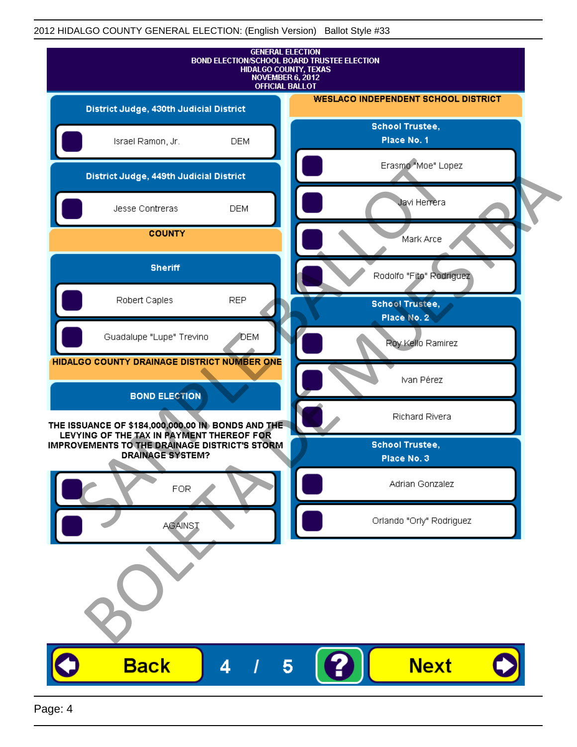|                                                                                                                                                                            |            | <b>GENERAL ELECTION</b><br>BOND ELECTION/SCHOOL BOARD TRUSTEE ELECTION<br>HIDALGO COUNTY, TEXAS<br>NOVEMBER 6, 2012<br><b>OFFICIAL BALLOT</b> |
|----------------------------------------------------------------------------------------------------------------------------------------------------------------------------|------------|-----------------------------------------------------------------------------------------------------------------------------------------------|
| District Judge, 430th Judicial District                                                                                                                                    |            | <b>WESLACO INDEPENDENT SCHOOL DISTRICT</b>                                                                                                    |
| Israel Ramon, Jr.                                                                                                                                                          | <b>DEM</b> | <b>School Trustee,</b><br>Place No. 1                                                                                                         |
| District Judge, 449th Judicial District                                                                                                                                    |            | Erasmo "Moe" Lopez                                                                                                                            |
| Jesse Contreras                                                                                                                                                            | <b>DEM</b> | Javi Herrera                                                                                                                                  |
| <b>COUNTY</b>                                                                                                                                                              |            | Mark Arce                                                                                                                                     |
| <b>Sheriff</b>                                                                                                                                                             |            | Rodolfo "Fito" Rodriguez                                                                                                                      |
| Robert Caples                                                                                                                                                              | <b>REP</b> | <b>School Trustee,</b><br>Place No. 2                                                                                                         |
| Guadalupe "Lupe" Trevino                                                                                                                                                   | DEM        | Roy Kello Ramirez                                                                                                                             |
| HIDALGO COUNTY DRAINAGE DISTRICT NUMBER ONE                                                                                                                                |            | Ivan Pérez                                                                                                                                    |
| <b>BOND ELECTION</b>                                                                                                                                                       |            | Richard Rivera                                                                                                                                |
| THE ISSUANCE OF \$184,000,000.00 IN BONDS AND THE<br>LEVYING OF THE TAX IN PAYMENT THEREOF FOR<br>IMPROVEMENTS TO THE DRAINAGE DISTRICT'S STORM<br><b>DRAINAGE SYSTEM?</b> |            | <b>School Trustee,</b><br>Place No. 3                                                                                                         |
| <b>FOR</b>                                                                                                                                                                 |            | Adrian Gonzalez                                                                                                                               |
| <b>AGAINST</b>                                                                                                                                                             |            | Orlando "Orly" Rodriguez                                                                                                                      |
|                                                                                                                                                                            |            |                                                                                                                                               |
| <b>Back</b>                                                                                                                                                                | 4          | <b>Next</b><br>5                                                                                                                              |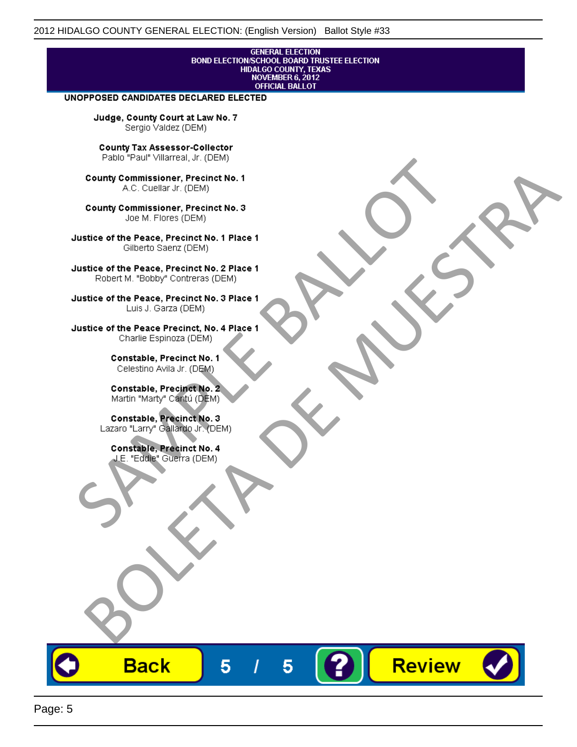## **GENERAL ELECTION** BOND ELECTION/SCHOOL BOARD TRUSTEE ELECTION<br>HIDALGO COUNTY, TEXAS<br>NOVEMBER 6, 2012 **OFFICIAL BALLOT**

Review

#### UNOPPOSED CANDIDATES DECLARED ELECTED

Judge, County Court at Law No. 7 Sergio Valdez (DEM)

County Tax Assessor-Collector

Frame The Passe, Precinct No. 1<br>
County Commissioner, Precinct No. 1<br>
SC. Cutellar Jr. (DEM)<br>
County Commissioner, Precinct No. 2<br>
Ulastice of the Peace, Precinct No. 2<br>
Ulastice of the Peace, Precinct No. 2<br>
Robert M. "Bl County Commissioner, Precinat No. 1<br>
A County Commissioner, Precinat No. 3<br>
Use of the Peace, Precinat No. 3<br>
Use of the Peace, Precinat No. 1<br>
There is a precinc No. 2<br>
There is a precinc No. 2<br>
There is a precinc No. 2<br>

**Back** 

5

5

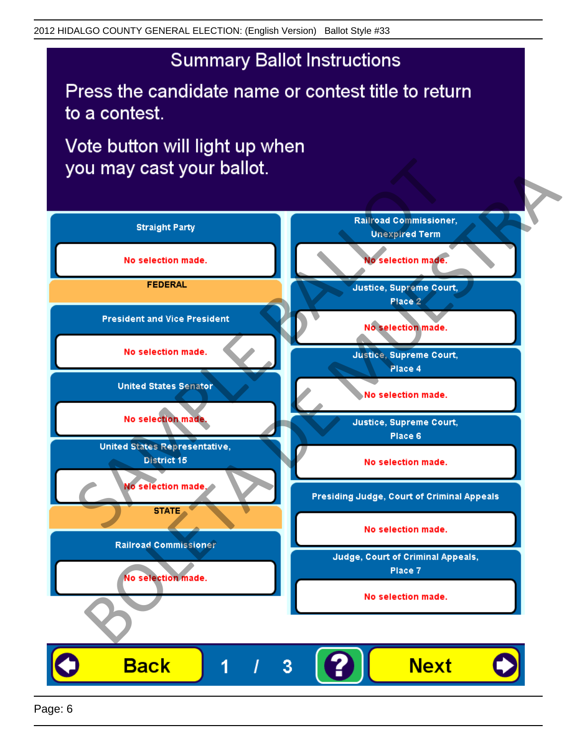# **Summary Ballot Instructions**

Press the candidate name or contest title to return to a contest.

Vote button will light up when

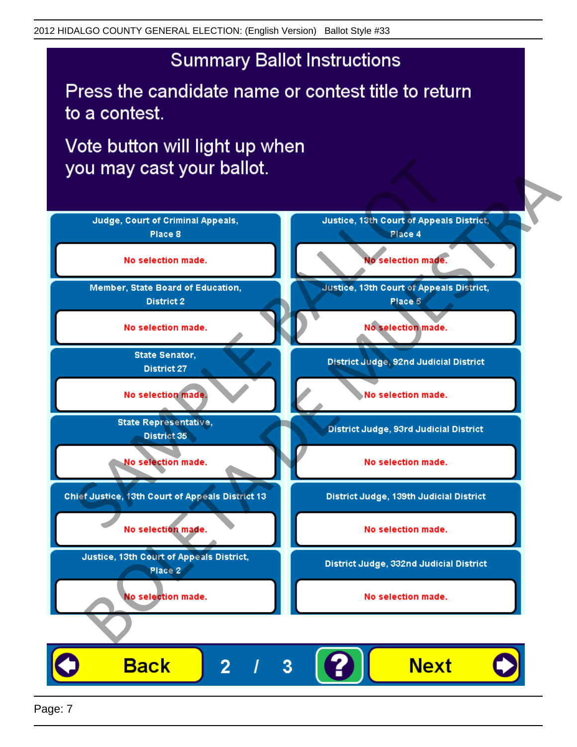# **Summary Ballot Instructions**

Press the candidate name or contest title to return to a contest.

Vote button will light up when